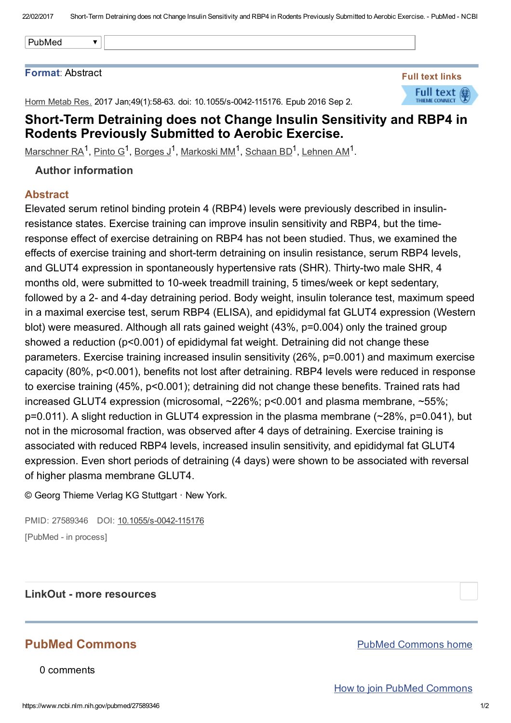| PubMed |  |
|--------|--|

## Format: Abstract

Horm Metab Res. 2017 Jan; 49(1): 58-63. doi: 10.1055/s-0042-115176. Epub 2016 Sep 2.



## Short-Term Detraining does not Change Insulin Sensitivity and RBP4 in Rodents Previously Submitted to Aerobic Exercise.

 $M$ arschner RA<sup>1</sup>, [Pinto](https://www.ncbi.nlm.nih.gov/pubmed/?term=Pinto%20G%5BAuthor%5D&cauthor=true&cauthor_uid=27589346) G<sup>1</sup>, [Borges](https://www.ncbi.nlm.nih.gov/pubmed/?term=Borges%20J%5BAuthor%5D&cauthor=true&cauthor_uid=27589346) J<sup>1</sup>, [Markoski](https://www.ncbi.nlm.nih.gov/pubmed/?term=Markoski%20MM%5BAuthor%5D&cauthor=true&cauthor_uid=27589346) MM<sup>1</sup>, [Schaan](https://www.ncbi.nlm.nih.gov/pubmed/?term=Schaan%20BD%5BAuthor%5D&cauthor=true&cauthor_uid=27589346) BD<sup>1</sup>, [Lehnen](https://www.ncbi.nlm.nih.gov/pubmed/?term=Lehnen%20AM%5BAuthor%5D&cauthor=true&cauthor_uid=27589346) AM<sup>1</sup>.

Author information

## Abstract

Elevated serum retinol binding protein 4 (RBP4) levels were previously described in insulinresistance states. Exercise training can improve insulin sensitivity and RBP4, but the timeresponse effect of exercise detraining on RBP4 has not been studied. Thus, we examined the effects of exercise training and short-term detraining on insulin resistance, serum RBP4 levels, and GLUT4 expression in spontaneously hypertensive rats (SHR). Thirty-two male SHR, 4 months old, were submitted to 10-week treadmill training, 5 times/week or kept sedentary, followed by a 2- and 4-day detraining period. Body weight, insulin tolerance test, maximum speed in a maximal exercise test, serum RBP4 (ELISA), and epididymal fat GLUT4 expression (Western blot) were measured. Although all rats gained weight (43%, p=0.004) only the trained group showed a reduction (p<0.001) of epididymal fat weight. Detraining did not change these parameters. Exercise training increased insulin sensitivity (26%, p=0.001) and maximum exercise capacity (80%, p<0.001), benefits not lost after detraining. RBP4 levels were reduced in response to exercise training (45%, p<0.001); detraining did not change these benefits. Trained rats had increased GLUT4 expression (microsomal, ~226%; p<0.001 and plasma membrane, ~55%; p=0.011). A slight reduction in GLUT4 expression in the plasma membrane (~28%, p=0.041), but not in the microsomal fraction, was observed after 4 days of detraining. Exercise training is associated with reduced RBP4 levels, increased insulin sensitivity, and epididymal fat GLUT4 expression. Even short periods of detraining (4 days) were shown to be associated with reversal of higher plasma membrane GLUT4.

© Georg Thieme Verlag KG Stuttgart · New York.

PMID: 27589346 DOI: 10.1055/s-0042-115176 [PubMed - in process]

LinkOut - more resources

## PubMed Commons

0 comments